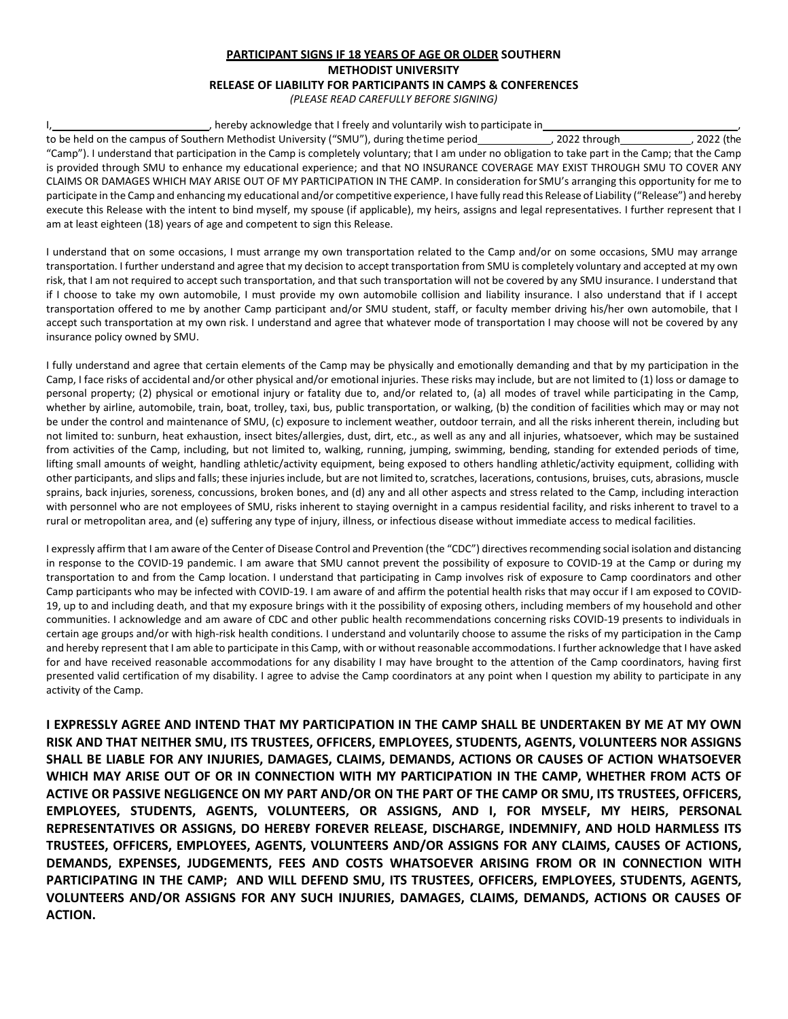## **PARTICIPANT SIGNS IF 18 YEARS OF AGE OR OLDER SOUTHERN METHODIST UNIVERSITY RELEASE OF LIABILITY FOR PARTICIPANTS IN CAMPS & CONFERENCES** *(PLEASE READ CAREFULLY BEFORE SIGNING)*

## I, hereby acknowledge that I freely and voluntarily wish to participate in

to be held on the campus of Southern Methodist University ("SMU"), during thetime period , 2022 through , 2022 (the "Camp"). I understand that participation in the Camp is completely voluntary; that I am under no obligation to take part in the Camp; that the Camp is provided through SMU to enhance my educational experience; and that NO INSURANCE COVERAGE MAY EXIST THROUGH SMU TO COVER ANY CLAIMS OR DAMAGES WHICH MAY ARISE OUT OF MY PARTICIPATION IN THE CAMP. In consideration for SMU's arranging this opportunity for me to participate in the Camp and enhancing my educational and/or competitive experience, I have fully read this Release of Liability ("Release") and hereby execute this Release with the intent to bind myself, my spouse (if applicable), my heirs, assigns and legal representatives. I further represent that I am at least eighteen (18) years of age and competent to sign this Release.

I understand that on some occasions, I must arrange my own transportation related to the Camp and/or on some occasions, SMU may arrange transportation. I further understand and agree that my decision to accept transportation from SMU is completely voluntary and accepted at my own risk, that I am not required to accept such transportation, and that such transportation will not be covered by any SMU insurance. I understand that if I choose to take my own automobile, I must provide my own automobile collision and liability insurance. I also understand that if I accept transportation offered to me by another Camp participant and/or SMU student, staff, or faculty member driving his/her own automobile, that I accept such transportation at my own risk. I understand and agree that whatever mode of transportation I may choose will not be covered by any insurance policy owned by SMU.

I fully understand and agree that certain elements of the Camp may be physically and emotionally demanding and that by my participation in the Camp, I face risks of accidental and/or other physical and/or emotional injuries. These risks may include, but are not limited to (1) loss or damage to personal property; (2) physical or emotional injury or fatality due to, and/or related to, (a) all modes of travel while participating in the Camp, whether by airline, automobile, train, boat, trolley, taxi, bus, public transportation, or walking, (b) the condition of facilities which may or may not be under the control and maintenance of SMU, (c) exposure to inclement weather, outdoor terrain, and all the risks inherent therein, including but not limited to: sunburn, heat exhaustion, insect bites/allergies, dust, dirt, etc., as well as any and all injuries, whatsoever, which may be sustained from activities of the Camp, including, but not limited to, walking, running, jumping, swimming, bending, standing for extended periods of time, lifting small amounts of weight, handling athletic/activity equipment, being exposed to others handling athletic/activity equipment, colliding with other participants, and slips and falls; these injuries include, but are not limited to, scratches, lacerations, contusions, bruises, cuts, abrasions, muscle sprains, back injuries, soreness, concussions, broken bones, and (d) any and all other aspects and stress related to the Camp, including interaction with personnel who are not employees of SMU, risks inherent to staying overnight in a campus residential facility, and risks inherent to travel to a rural or metropolitan area, and (e) suffering any type of injury, illness, or infectious disease without immediate access to medical facilities.

I expressly affirm that I am aware of the Center of Disease Control and Prevention (the "CDC") directives recommending social isolation and distancing in response to the COVID-19 pandemic. I am aware that SMU cannot prevent the possibility of exposure to COVID-19 at the Camp or during my transportation to and from the Camp location. I understand that participating in Camp involves risk of exposure to Camp coordinators and other Camp participants who may be infected with COVID-19. I am aware of and affirm the potential health risks that may occur if I am exposed to COVID-19, up to and including death, and that my exposure brings with it the possibility of exposing others, including members of my household and other communities. I acknowledge and am aware of CDC and other public health recommendations concerning risks COVID-19 presents to individuals in certain age groups and/or with high-risk health conditions. I understand and voluntarily choose to assume the risks of my participation in the Camp and hereby represent that I am able to participate in this Camp, with or without reasonable accommodations. I further acknowledge that I have asked for and have received reasonable accommodations for any disability I may have brought to the attention of the Camp coordinators, having first presented valid certification of my disability. I agree to advise the Camp coordinators at any point when I question my ability to participate in any activity of the Camp.

**I EXPRESSLY AGREE AND INTEND THAT MY PARTICIPATION IN THE CAMP SHALL BE UNDERTAKEN BY ME AT MY OWN RISK AND THAT NEITHER SMU, ITS TRUSTEES, OFFICERS, EMPLOYEES, STUDENTS, AGENTS, VOLUNTEERS NOR ASSIGNS SHALL BE LIABLE FOR ANY INJURIES, DAMAGES, CLAIMS, DEMANDS, ACTIONS OR CAUSES OF ACTION WHATSOEVER WHICH MAY ARISE OUT OF OR IN CONNECTION WITH MY PARTICIPATION IN THE CAMP, WHETHER FROM ACTS OF ACTIVE OR PASSIVE NEGLIGENCE ON MY PART AND/OR ON THE PART OF THE CAMP OR SMU, ITS TRUSTEES, OFFICERS, EMPLOYEES, STUDENTS, AGENTS, VOLUNTEERS, OR ASSIGNS, AND I, FOR MYSELF, MY HEIRS, PERSONAL REPRESENTATIVES OR ASSIGNS, DO HEREBY FOREVER RELEASE, DISCHARGE, INDEMNIFY, AND HOLD HARMLESS ITS TRUSTEES, OFFICERS, EMPLOYEES, AGENTS, VOLUNTEERS AND/OR ASSIGNS FOR ANY CLAIMS, CAUSES OF ACTIONS, DEMANDS, EXPENSES, JUDGEMENTS, FEES AND COSTS WHATSOEVER ARISING FROM OR IN CONNECTION WITH PARTICIPATING IN THE CAMP; AND WILL DEFEND SMU, ITS TRUSTEES, OFFICERS, EMPLOYEES, STUDENTS, AGENTS, VOLUNTEERS AND/OR ASSIGNS FOR ANY SUCH INJURIES, DAMAGES, CLAIMS, DEMANDS, ACTIONS OR CAUSES OF ACTION.**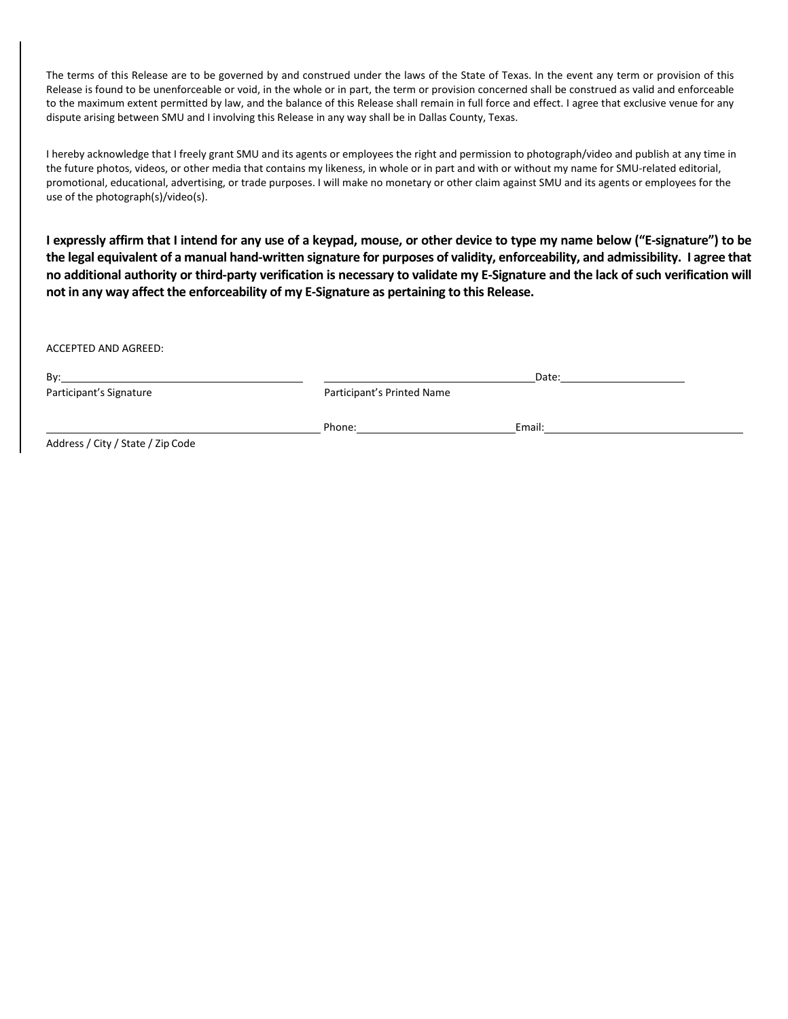The terms of this Release are to be governed by and construed under the laws of the State of Texas. In the event any term or provision of this Release is found to be unenforceable or void, in the whole or in part, the term or provision concerned shall be construed as valid and enforceable to the maximum extent permitted by law, and the balance of this Release shall remain in full force and effect. I agree that exclusive venue for any dispute arising between SMU and I involving this Release in any way shall be in Dallas County, Texas.

I hereby acknowledge that I freely grant SMU and its agents or employees the right and permission to photograph/video and publish at any time in the future photos, videos, or other media that contains my likeness, in whole or in part and with or without my name for SMU-related editorial, promotional, educational, advertising, or trade purposes. I will make no monetary or other claim against SMU and its agents or employees for the use of the photograph(s)/video(s).

**I expressly affirm that I intend for any use of a keypad, mouse, or other device to type my name below ("E-signature") to be the legal equivalent of a manual hand-written signature for purposes of validity, enforceability, and admissibility. I agree that no additional authority or third-party verification is necessary to validate my E-Signature and the lack of such verification will not in any way affect the enforceability of my E-Signature as pertaining to this Release.** 

ACCEPTED AND AGREED:

| Bv:                              | Date:                      |        |  |
|----------------------------------|----------------------------|--------|--|
| Participant's Signature          | Participant's Printed Name |        |  |
|                                  | Phone:                     | Email: |  |
| Additional City Later Late and L |                            |        |  |

Address / City / State / Zip Code